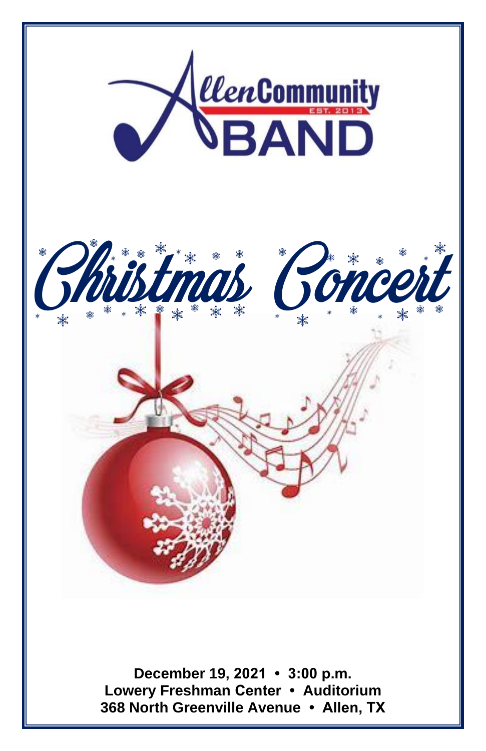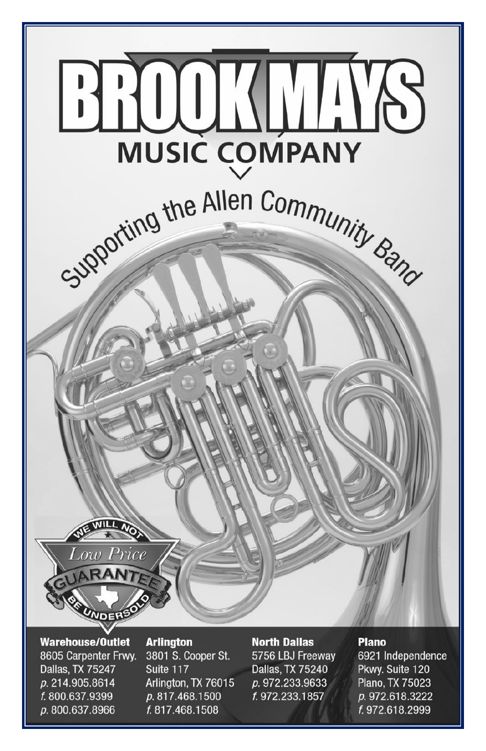

**Warehouse/Outlet** 8605 Carpenter Frwy. **Dallas, TX 75247** p. 214.905.8614 f. 800.637.9399 p. 800.637.8966

### **Arlington**

3801 S. Cooper St. Suite 117 Arlington, TX 76015 p. 817.468.1500 f. 817.468.1508

#### **North Dallas**

5756 LBJ Freeway **Dallas, TX 75240** p. 972.233.9633 f. 972.233.1857

#### **Plano**

6921 Independence Pkwy. Suite 120 Plano, TX 75023 p. 972.618.3222 f. 972.618.2999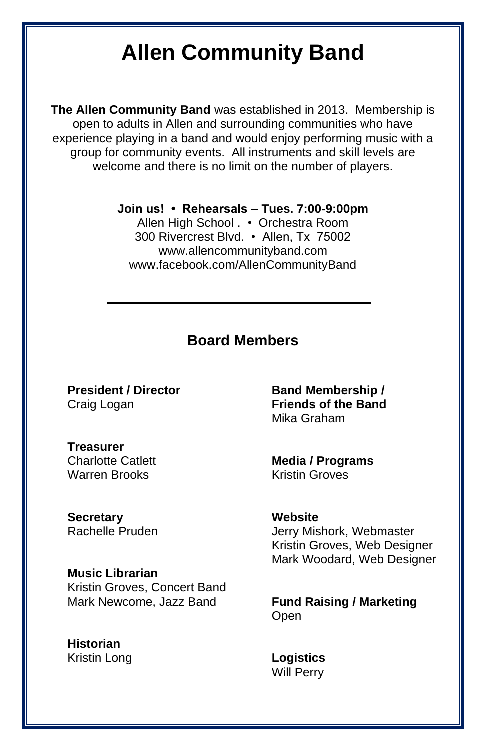### **Allen Community Band**

**The Allen Community Band** was established in 2013. Membership is open to adults in Allen and surrounding communities who have experience playing in a band and would enjoy performing music with a group for community events. All instruments and skill levels are welcome and there is no limit on the number of players.

**Join us! • Rehearsals – Tues. 7:00-9:00pm** 

Allen High School . • Orchestra Room 300 Rivercrest Blvd. • Allen, Tx 75002 www.allencommunityband.com www.facebook.com/AllenCommunityBand

#### **Board Members**

**President / Director** Craig Logan

**Treasurer** Charlotte Catlett Warren Brooks

**Secretary** Rachelle Pruden

**Music Librarian**  Kristin Groves, Concert Band Mark Newcome, Jazz Band

**Historian** Kristin Long

**Band Membership / Friends of the Band** Mika Graham

**Media / Programs** Kristin Groves

**Website** Jerry Mishork, Webmaster Kristin Groves, Web Designer Mark Woodard, Web Designer

**Fund Raising / Marketing** Open

**Logistics** Will Perry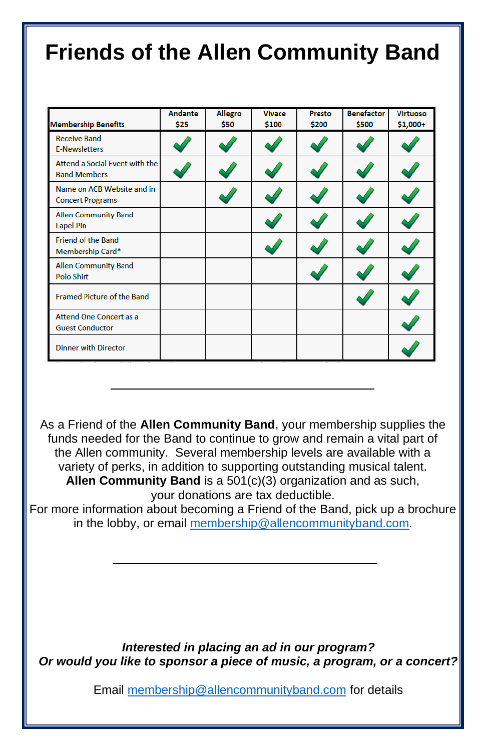### **Friends of the Allen Community Band**

| <b>Membership Benefits</b>                               | Andante<br>\$25 | <b>Allegro</b><br>\$50 | <b>Vivace</b><br>\$100 | Presto<br>\$200 | <b>Benefactor</b><br>\$500 | <b>Virtuoso</b><br>$$1,000+$ |
|----------------------------------------------------------|-----------------|------------------------|------------------------|-----------------|----------------------------|------------------------------|
| <b>Receive Band</b><br><b>E-Newsletters</b>              |                 |                        |                        |                 |                            |                              |
| Attend a Social Event with the<br><b>Band Members</b>    |                 |                        |                        |                 |                            |                              |
| Name on ACB Website and in<br><b>Concert Programs</b>    |                 |                        |                        |                 |                            |                              |
| <b>Allen Community Band</b><br><b>Lapel Pin</b>          |                 |                        |                        |                 |                            |                              |
| Friend of the Band<br>Membership Card*                   |                 |                        |                        |                 |                            |                              |
| <b>Allen Community Band</b><br><b>Polo Shirt</b>         |                 |                        |                        |                 |                            |                              |
| <b>Framed Picture of the Band</b>                        |                 |                        |                        |                 |                            |                              |
| <b>Attend One Concert as a</b><br><b>Guest Conductor</b> |                 |                        |                        |                 |                            |                              |
| <b>Dinner with Director</b>                              |                 |                        |                        |                 |                            |                              |

As a Friend of the **Allen Community Band**, your membership supplies the funds needed for the Band to continue to grow and remain a vital part of the Allen community. Several membership levels are available with a variety of perks, in addition to supporting outstanding musical talent. **Allen Community Band** is a 501(c)(3) organization and as such, your donations are tax deductible.

For more information about becoming a Friend of the Band, pick up a brochure in the lobby, or email [membership@allencommunityband.com](mailto:membership@allencommunityband.com).

*Interested in placing an ad in our program? Or would you like to sponsor a piece of music, a program, or a concert?*

Email [membership@allencommunityband.com](mailto:membership@allencommunityband.com) for details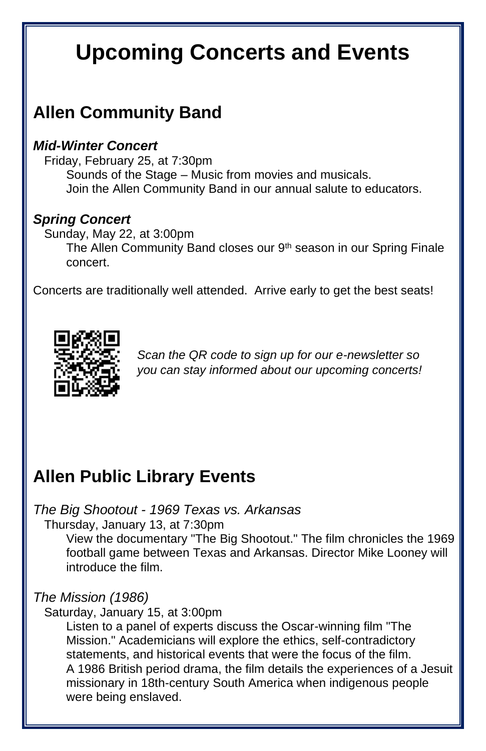### **Upcoming Concerts and Events**

### **Allen Community Band**

#### *Mid-Winter Concert*

Friday, February 25, at 7:30pm Sounds of the Stage – Music from movies and musicals. Join the Allen Community Band in our annual salute to educators.

### *Spring Concert*

Sunday, May 22, at 3:00pm The Allen Community Band closes our 9<sup>th</sup> season in our Spring Finale concert.

Concerts are traditionally well attended. Arrive early to get the best seats!



*Scan the QR code to sign up for our e-newsletter so you can stay informed about our upcoming concerts!*

### **Allen Public Library Events**

#### *The Big Shootout - 1969 Texas vs. Arkansas*

Thursday, January 13, at 7:30pm

View the documentary "The Big Shootout." The film chronicles the 1969 football game between Texas and Arkansas. Director Mike Looney will introduce the film.

#### *The Mission (1986)*

#### Saturday, January 15, at 3:00pm

Listen to a panel of experts discuss the Oscar-winning film "The Mission." Academicians will explore the ethics, self-contradictory statements, and historical events that were the focus of the film. A 1986 British period drama, the film details the experiences of a Jesuit missionary in 18th-century South America when indigenous people were being enslaved.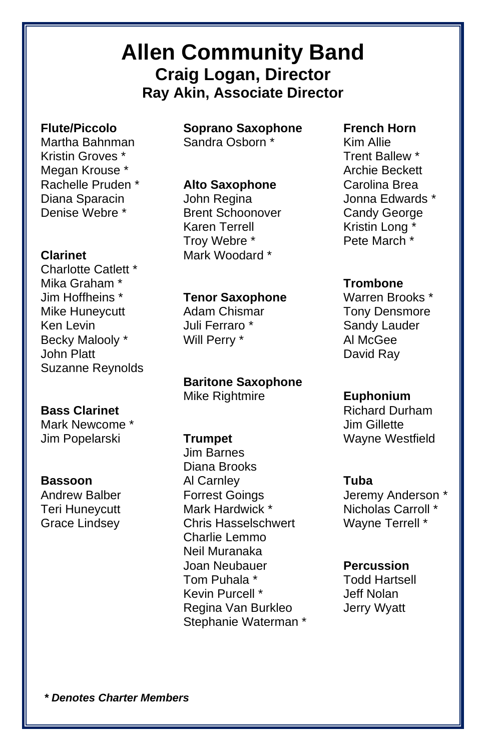### **Allen Community Band Craig Logan, Director Ray Akin, Associate Director**

#### **Flute/Piccolo**

Martha Bahnman Kristin Groves \* Megan Krouse \* Rachelle Pruden \* Diana Sparacin Denise Webre \*

#### **Clarinet**

Charlotte Catlett \* Mika Graham \* Jim Hoffheins \* Mike Huneycutt Ken Levin Becky Malooly \* John Platt Suzanne Reynolds

#### **Bass Clarinet**

Mark Newcome \* Jim Popelarski

#### **Bassoon**

Andrew Balber Teri Huneycutt Grace Lindsey

**Soprano Saxophone** Sandra Osborn \*

#### **Alto Saxophone**

John Regina Brent Schoonover Karen Terrell Troy Webre \* Mark Woodard \*

#### **Tenor Saxophone**

Adam Chismar Juli Ferraro \* Will Perry \*

**Baritone Saxophone** Mike Rightmire

#### **Trumpet**

Jim Barnes Diana Brooks Al Carnley Forrest Goings Mark Hardwick \* Chris Hasselschwert Charlie Lemmo Neil Muranaka Joan Neubauer Tom Puhala \* Kevin Purcell \* Regina Van Burkleo Stephanie Waterman \*

#### **French Horn**

Kim Allie Trent Ballew \* Archie Beckett Carolina Brea Jonna Edwards \* Candy George Kristin Long Pete March \*

#### **Trombone**

Warren Brooks \* Tony Densmore Sandy Lauder Al McGee David Ray

#### **Euphonium**

Richard Durham Jim Gillette Wayne Westfield

#### **Tuba**

Jeremy Anderson \* Nicholas Carroll \* Wayne Terrell \*

#### **Percussion**

Todd Hartsell Jeff Nolan Jerry Wyatt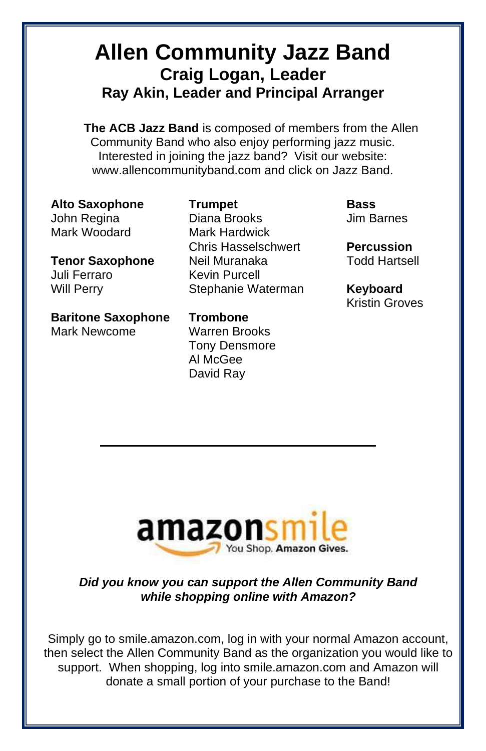### **Allen Community Jazz Band Craig Logan, Leader Ray Akin, Leader and Principal Arranger**

**The ACB Jazz Band** is composed of members from the Allen Community Band who also enjoy performing jazz music. Interested in joining the jazz band? Visit our website: www.allencommunityband.com and click on Jazz Band.

**Alto Saxophone** John Regina Mark Woodard

**Tenor Saxophone** Juli Ferraro Will Perry

**Baritone Saxophone** Mark Newcome

**Trumpet** Diana Brooks Mark Hardwick Chris Hasselschwert Neil Muranaka Kevin Purcell Stephanie Waterman

**Trombone** Warren Brooks Tony Densmore Al McGee David Ray

**Bass** Jim Barnes

**Percussion** Todd Hartsell

**Keyboard** Kristin Groves



#### *Did you know you can support the Allen Community Band while shopping online with Amazon?*

Simply go to smile.amazon.com, log in with your normal Amazon account, then select the Allen Community Band as the organization you would like to support. When shopping, log into smile.amazon.com and Amazon will donate a small portion of your purchase to the Band!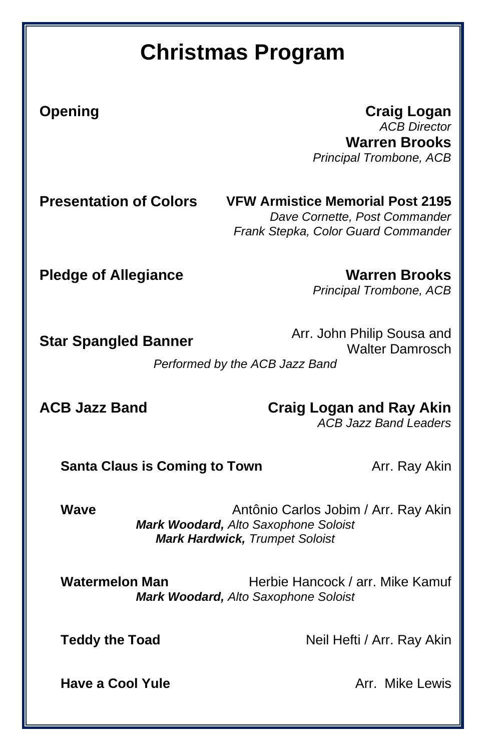### **Christmas Program**

**Opening Craig Logan** *ACB Director* **Warren Brooks** *Principal Trombone, ACB*

**Presentation of Colors VFW Armistice Memorial Post 2195** *Dave Cornette, Post Commander Frank Stepka, Color Guard Commander*

**Pledge of Allegiance Warren Brooks**

*Principal Trombone, ACB*

**Star Spangled Banner** Arr. John Philip Sousa and Walter Damrosch

*Performed by the ACB Jazz Band*

**ACB Jazz Band Craig Logan and Ray Akin**

*ACB Jazz Band Leaders*

**Santa Claus is Coming to Town** Arr. Ray Akin

**Wave Antônio Carlos Jobim / Arr. Ray Akin** *Mark Woodard, Alto Saxophone Soloist Mark Hardwick, Trumpet Soloist*

Watermelon Man **Herbie Hancock / arr. Mike Kamuf** *Mark Woodard, Alto Saxophone Soloist*

**Teddy the Toad** Neil Hefti / Arr. Ray Akin

**Have a Cool Yule Arr.** Mike Lewis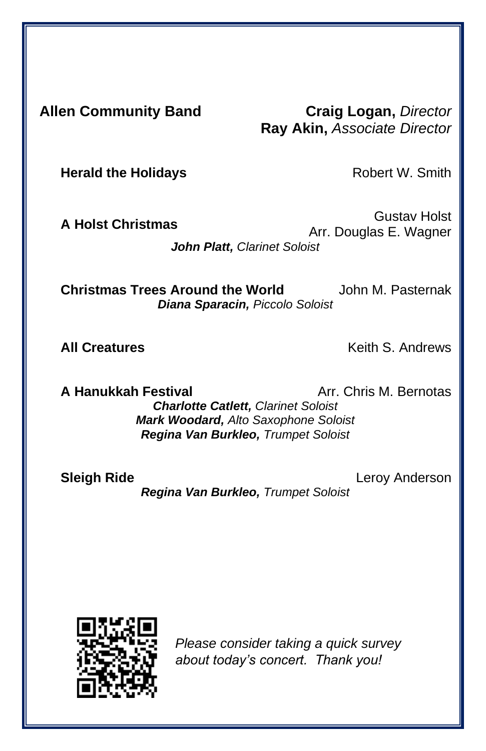**Allen Community Band Craig Logan,** *Director* **Ray Akin,** *Associate Director*

**Herald the Holidays Robert W. Smith** 

**A Holst Christmas** Gustav Holst Arr. Douglas E. Wagner *John Platt, Clarinet Soloist*

**Christmas Trees Around the World** John M. Pasternak *Diana Sparacin, Piccolo Soloist*

**All Creatures All Creatures Keith S. Andrews** 

**A Hanukkah Festival** Arr. Chris M. Bernotas *Charlotte Catlett, Clarinet Soloist Mark Woodard, Alto Saxophone Soloist Regina Van Burkleo, Trumpet Soloist*

**Sleigh Ride Leroy Anderson** *Regina Van Burkleo, Trumpet Soloist*

*Please consider taking a quick survey about today's concert. Thank you!*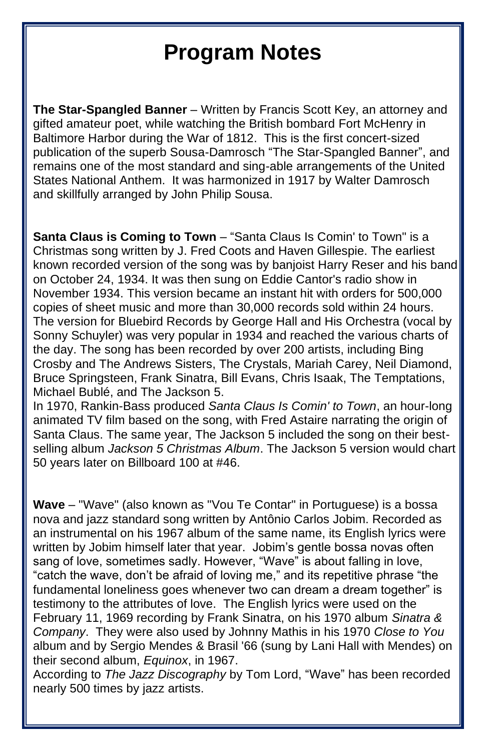**The Star-Spangled Banner** – Written by Francis Scott Key, an attorney and gifted amateur poet, while watching the British bombard Fort McHenry in Baltimore Harbor during the War of 1812. This is the first concert-sized publication of the superb Sousa-Damrosch "The Star-Spangled Banner", and remains one of the most standard and sing-able arrangements of the United States National Anthem. It was harmonized in 1917 by Walter Damrosch and skillfully arranged by John Philip Sousa.

**Santa Claus is Coming to Town** – "Santa Claus Is Comin' to Town" is a Christmas song written by J. Fred Coots and Haven Gillespie. The earliest known recorded version of the song was by banjoist Harry Reser and his band on October 24, 1934. It was then sung on Eddie Cantor's radio show in November 1934. This version became an instant hit with orders for 500,000 copies of sheet music and more than 30,000 records sold within 24 hours. The version for Bluebird Records by George Hall and His Orchestra (vocal by Sonny Schuyler) was very popular in 1934 and reached the various charts of the day. The song has been recorded by over 200 artists, including Bing Crosby and The Andrews Sisters, The Crystals, Mariah Carey, Neil Diamond, Bruce Springsteen, Frank Sinatra, Bill Evans, Chris Isaak, The Temptations, Michael Bublé, and The Jackson 5.

In 1970, Rankin-Bass produced *Santa Claus Is Comin' to Town*, an hour-long animated TV film based on the song, with Fred Astaire narrating the origin of Santa Claus. The same year, The Jackson 5 included the song on their bestselling album *Jackson 5 Christmas Album*. The Jackson 5 version would chart 50 years later on Billboard 100 at #46.

**Wave** – "Wave" (also known as "Vou Te Contar" in Portuguese) is a bossa nova and jazz standard song written by Antônio Carlos Jobim. Recorded as an instrumental on his 1967 album of the same name, its English lyrics were written by Jobim himself later that year. Jobim's gentle bossa novas often sang of love, sometimes sadly. However, "Wave" is about falling in love, "catch the wave, don't be afraid of loving me," and its repetitive phrase "the fundamental loneliness goes whenever two can dream a dream together" is testimony to the attributes of love. The English lyrics were used on the February 11, 1969 recording by Frank Sinatra, on his 1970 album *Sinatra & Company*. They were also used by Johnny Mathis in his 1970 *Close to You* album and by Sergio Mendes & Brasil '66 (sung by Lani Hall with Mendes) on their second album, *Equinox*, in 1967.

According to *The Jazz Discography* by Tom Lord, "Wave" has been recorded nearly 500 times by jazz artists.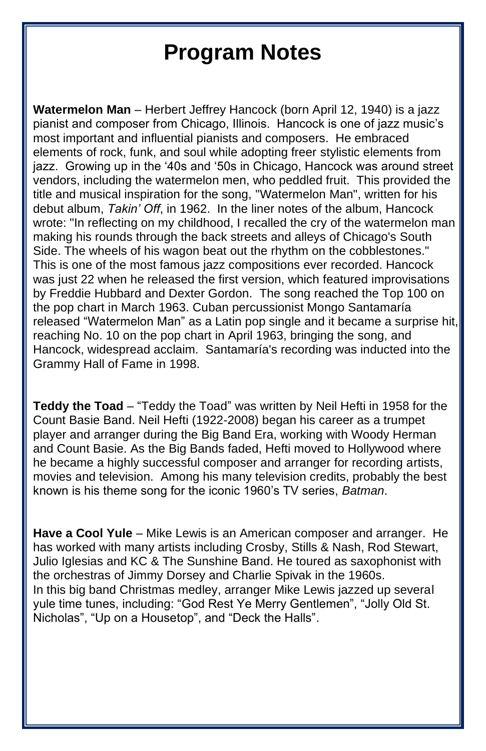**Watermelon Man** – Herbert Jeffrey Hancock (born April 12, 1940) is a jazz pianist and composer from Chicago, Illinois. Hancock is one of jazz music's most important and influential pianists and composers. He embraced elements of rock, funk, and soul while adopting freer stylistic elements from jazz. Growing up in the '40s and '50s in Chicago, Hancock was around street vendors, including the watermelon men, who peddled fruit. This provided the title and musical inspiration for the song, "Watermelon Man", written for his debut album, *Takin' Off*, in 1962. In the liner notes of the album, Hancock wrote: "In reflecting on my childhood, I recalled the cry of the watermelon man making his rounds through the back streets and alleys of Chicago's South Side. The wheels of his wagon beat out the rhythm on the cobblestones." This is one of the most famous jazz compositions ever recorded. Hancock was just 22 when he released the first version, which featured improvisations by Freddie Hubbard and Dexter Gordon. The song reached the Top 100 on the pop chart in March 1963. Cuban percussionist Mongo Santamaría released "Watermelon Man" as a Latin pop single and it became a surprise hit, reaching No. 10 on the pop chart in April 1963, bringing the song, and Hancock, widespread acclaim. Santamaría's recording was inducted into the Grammy Hall of Fame in 1998.

**Teddy the Toad** – "Teddy the Toad" was written by Neil Hefti in 1958 for the Count Basie Band. Neil Hefti (1922-2008) began his career as a trumpet player and arranger during the Big Band Era, working with Woody Herman and Count Basie. As the Big Bands faded, Hefti moved to Hollywood where he became a highly successful composer and arranger for recording artists, movies and television. Among his many television credits, probably the best known is his theme song for the iconic 1960's TV series, *Batman*.

**Have a Cool Yule** – Mike Lewis is an American composer and arranger. He has worked with many artists including Crosby, Stills & Nash, Rod Stewart, Julio Iglesias and KC & The Sunshine Band. He toured as saxophonist with the orchestras of Jimmy Dorsey and Charlie Spivak in the 1960s. In this big band Christmas medley, arranger Mike Lewis jazzed up several yule time tunes, including: "God Rest Ye Merry Gentlemen", "Jolly Old St. Nicholas", "Up on a Housetop", and "Deck the Halls".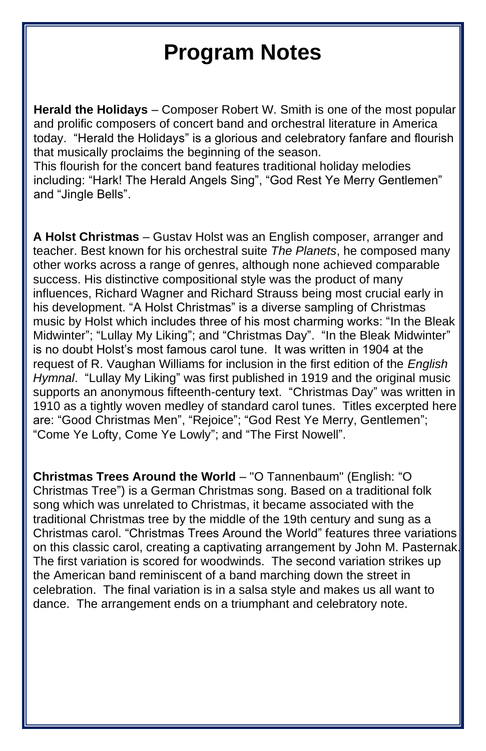**Herald the Holidays** – Composer Robert W. Smith is one of the most popular and prolific composers of concert band and orchestral literature in America today. "Herald the Holidays" is a glorious and celebratory fanfare and flourish that musically proclaims the beginning of the season.

This flourish for the concert band features traditional holiday melodies including: "Hark! The Herald Angels Sing", "God Rest Ye Merry Gentlemen" and "Jingle Bells".

**A Holst Christmas** – Gustav Holst was an English composer, arranger and teacher. Best known for his orchestral suite *The Planets*, he composed many other works across a range of genres, although none achieved comparable success. His distinctive compositional style was the product of many influences, Richard Wagner and Richard Strauss being most crucial early in his development. "A Holst Christmas" is a diverse sampling of Christmas music by Holst which includes three of his most charming works: "In the Bleak Midwinter"; "Lullay My Liking"; and "Christmas Day". "In the Bleak Midwinter" is no doubt Holst's most famous carol tune. It was written in 1904 at the request of R. Vaughan Williams for inclusion in the first edition of the *English Hymnal*. "Lullay My Liking" was first published in 1919 and the original music supports an anonymous fifteenth-century text. "Christmas Day" was written in 1910 as a tightly woven medley of standard carol tunes. Titles excerpted here are: "Good Christmas Men", "Rejoice"; "God Rest Ye Merry, Gentlemen"; "Come Ye Lofty, Come Ye Lowly"; and "The First Nowell".

**Christmas Trees Around the World** – "O Tannenbaum" (English: "O Christmas Tree") is a German Christmas song. Based on a traditional folk song which was unrelated to Christmas, it became associated with the traditional Christmas tree by the middle of the 19th century and sung as a Christmas carol. "Christmas Trees Around the World" features three variations on this classic carol, creating a captivating arrangement by John M. Pasternak. The first variation is scored for woodwinds. The second variation strikes up the American band reminiscent of a band marching down the street in celebration. The final variation is in a salsa style and makes us all want to dance. The arrangement ends on a triumphant and celebratory note.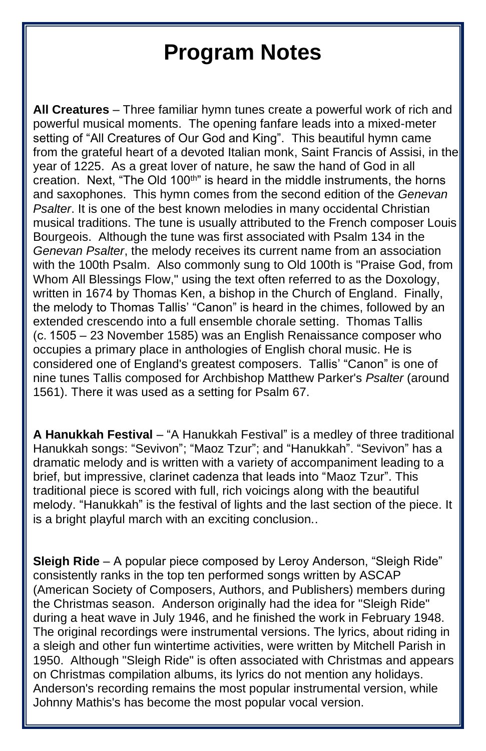**All Creatures** – Three familiar hymn tunes create a powerful work of rich and powerful musical moments. The opening fanfare leads into a mixed-meter setting of "All Creatures of Our God and King". This beautiful hymn came from the grateful heart of a devoted Italian monk, Saint Francis of Assisi, in the year of 1225. As a great lover of nature, he saw the hand of God in all creation. Next, "The Old 100th" is heard in the middle instruments, the horns and saxophones. This hymn comes from the second edition of the *Genevan Psalter*. It is one of the best known melodies in many occidental Christian musical traditions. The tune is usually attributed to the French composer Louis Bourgeois. Although the tune was first associated with Psalm 134 in the *Genevan Psalter*, the melody receives its current name from an association with the 100th Psalm. Also commonly sung to Old 100th is "Praise God, from Whom All Blessings Flow," using the text often referred to as the Doxology, written in 1674 by Thomas Ken, a bishop in the Church of England. Finally, the melody to Thomas Tallis' "Canon" is heard in the chimes, followed by an extended crescendo into a full ensemble chorale setting. Thomas Tallis (c. 1505 – 23 November 1585) was an English Renaissance composer who occupies a primary place in anthologies of English choral music. He is considered one of England's greatest composers. Tallis' "Canon" is one of nine tunes Tallis composed for Archbishop Matthew Parker's *Psalter* (around 1561). There it was used as a setting for Psalm 67.

**A Hanukkah Festival** – "A Hanukkah Festival" is a medley of three traditional Hanukkah songs: "Sevivon"; "Maoz Tzur"; and "Hanukkah". "Sevivon" has a dramatic melody and is written with a variety of accompaniment leading to a brief, but impressive, clarinet cadenza that leads into "Maoz Tzur". This traditional piece is scored with full, rich voicings along with the beautiful melody. "Hanukkah" is the festival of lights and the last section of the piece. It is a bright playful march with an exciting conclusion..

**Sleigh Ride** – A popular piece composed by Leroy Anderson, "Sleigh Ride" consistently ranks in the top ten performed songs written by ASCAP (American Society of Composers, Authors, and Publishers) members during the Christmas season. Anderson originally had the idea for "Sleigh Ride" during a heat wave in July 1946, and he finished the work in February 1948. The original recordings were instrumental versions. The lyrics, about riding in a sleigh and other fun wintertime activities, were written by Mitchell Parish in 1950. Although "Sleigh Ride" is often associated with Christmas and appears on Christmas compilation albums, its lyrics do not mention any holidays. Anderson's recording remains the most popular instrumental version, while Johnny Mathis's has become the most popular vocal version.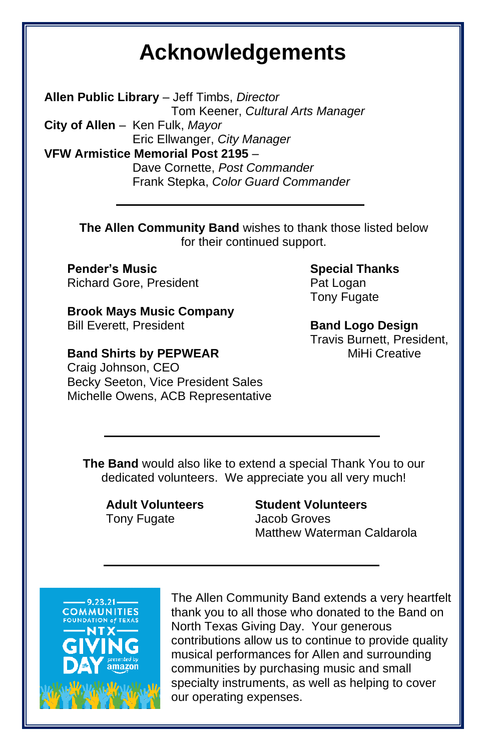### **Acknowledgements**

**Allen Public Library** – Jeff Timbs, *Director* Tom Keener, *Cultural Arts Manager* **City of Allen** – Ken Fulk, *Mayor* Eric Ellwanger, *City Manager* **VFW Armistice Memorial Post 2195** – Dave Cornette, *Post Commander* Frank Stepka, *Color Guard Commander*

> **The Allen Community Band** wishes to thank those listed below for their continued support.

**Pender's Music** Richard Gore, President

**Brook Mays Music Company** Bill Everett, President

**Band Shirts by PEPWEAR** Craig Johnson, CEO Becky Seeton, Vice President Sales Michelle Owens, ACB Representative **Special Thanks** Pat Logan Tony Fugate

**Band Logo Design** Travis Burnett, President, MiHi Creative

**The Band** would also like to extend a special Thank You to our dedicated volunteers. We appreciate you all very much!

**Adult Volunteers** Tony Fugate

**Student Volunteers** Jacob Groves Matthew Waterman Caldarola



The Allen Community Band extends a very heartfelt thank you to all those who donated to the Band on North Texas Giving Day. Your generous contributions allow us to continue to provide quality musical performances for Allen and surrounding communities by purchasing music and small specialty instruments, as well as helping to cover our operating expenses.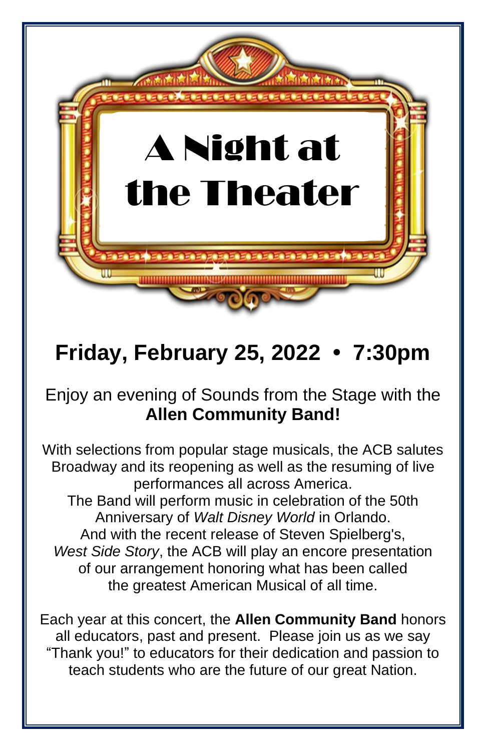

## **Friday, February 25, 2022 • 7:30pm**

### Enjoy an evening of Sounds from the Stage with the **Allen Community Band!**

With selections from popular stage musicals, the ACB salutes Broadway and its reopening as well as the resuming of live performances all across America. The Band will perform music in celebration of the 50th Anniversary of *Walt Disney World* in Orlando. And with the recent release of Steven Spielberg's, *West Side Story*, the ACB will play an encore presentation of our arrangement honoring what has been called the greatest American Musical of all time.

Each year at this concert, the **Allen Community Band** honors all educators, past and present. Please join us as we say "Thank you!" to educators for their dedication and passion to teach students who are the future of our great Nation.